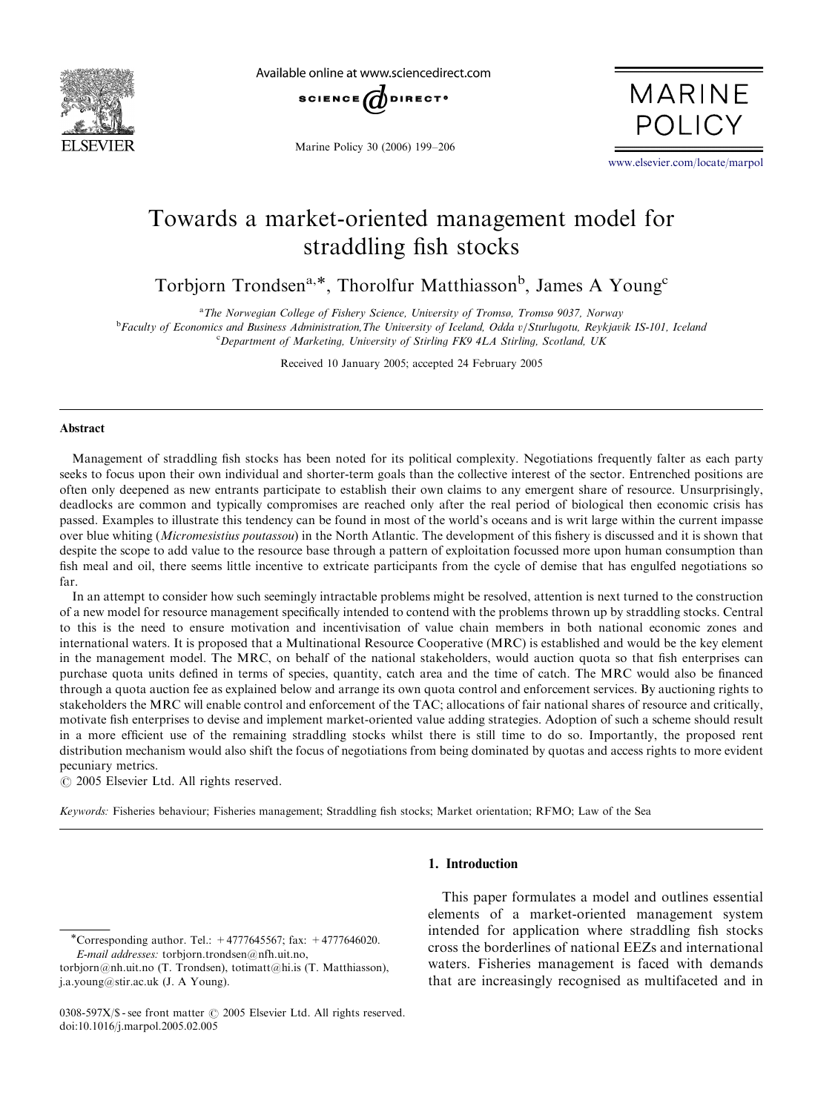

Available online at www.sciencedirect.com



Marine Policy 30 (2006) 199–206

**MARINE POLICY** 

<www.elsevier.com/locate/marpol>

# Towards a market-oriented management model for straddling fish stocks

Torbjorn Trondsen<sup>a,\*</sup>, Thorolfur Matthiasson<sup>b</sup>, James A Young<sup>c</sup>

<sup>a</sup>The Norwegian College of Fishery Science, University of Tromsø, Tromsø 9037, Norway

**bFaculty of Economics and Business Administration,The University of Iceland, Odda v/Sturlugotu, Reykjavik IS-101, Iceland** <sup>c</sup>Department of Marketing, University of Stirling FK9 4LA Stirling, Scotland, UK

Received 10 January 2005; accepted 24 February 2005

### Abstract

Management of straddling fish stocks has been noted for its political complexity. Negotiations frequently falter as each party seeks to focus upon their own individual and shorter-term goals than the collective interest of the sector. Entrenched positions are often only deepened as new entrants participate to establish their own claims to any emergent share of resource. Unsurprisingly, deadlocks are common and typically compromises are reached only after the real period of biological then economic crisis has passed. Examples to illustrate this tendency can be found in most of the world's oceans and is writ large within the current impasse over blue whiting (Micromesistius poutassou) in the North Atlantic. The development of this fishery is discussed and it is shown that despite the scope to add value to the resource base through a pattern of exploitation focussed more upon human consumption than fish meal and oil, there seems little incentive to extricate participants from the cycle of demise that has engulfed negotiations so far.

In an attempt to consider how such seemingly intractable problems might be resolved, attention is next turned to the construction of a new model for resource management specifically intended to contend with the problems thrown up by straddling stocks. Central to this is the need to ensure motivation and incentivisation of value chain members in both national economic zones and international waters. It is proposed that a Multinational Resource Cooperative (MRC) is established and would be the key element in the management model. The MRC, on behalf of the national stakeholders, would auction quota so that fish enterprises can purchase quota units defined in terms of species, quantity, catch area and the time of catch. The MRC would also be financed through a quota auction fee as explained below and arrange its own quota control and enforcement services. By auctioning rights to stakeholders the MRC will enable control and enforcement of the TAC; allocations of fair national shares of resource and critically, motivate fish enterprises to devise and implement market-oriented value adding strategies. Adoption of such a scheme should result in a more efficient use of the remaining straddling stocks whilst there is still time to do so. Importantly, the proposed rent distribution mechanism would also shift the focus of negotiations from being dominated by quotas and access rights to more evident pecuniary metrics.

 $\odot$  2005 Elsevier Ltd. All rights reserved.

Keywords: Fisheries behaviour; Fisheries management; Straddling fish stocks; Market orientation; RFMO; Law of the Sea

## 1. Introduction

This paper formulates a model and outlines essential elements of a market-oriented management system intended for application where straddling fish stocks cross the borderlines of national EEZs and international waters. Fisheries management is faced with demands that are increasingly recognised as multifaceted and in

Corresponding author. Tel.: +4777645567; fax: +4777646020. E-mail addresses: torbjorn.trondsen@nfh.uit.no,

torbjorn@nh.uit.no (T. Trondsen), totimatt@hi.is (T. Matthiasson), j.a.young@stir.ac.uk (J. A Young).

<sup>0308-597</sup>X/\$ - see front matter  $\odot$  2005 Elsevier Ltd. All rights reserved. doi:10.1016/j.marpol.2005.02.005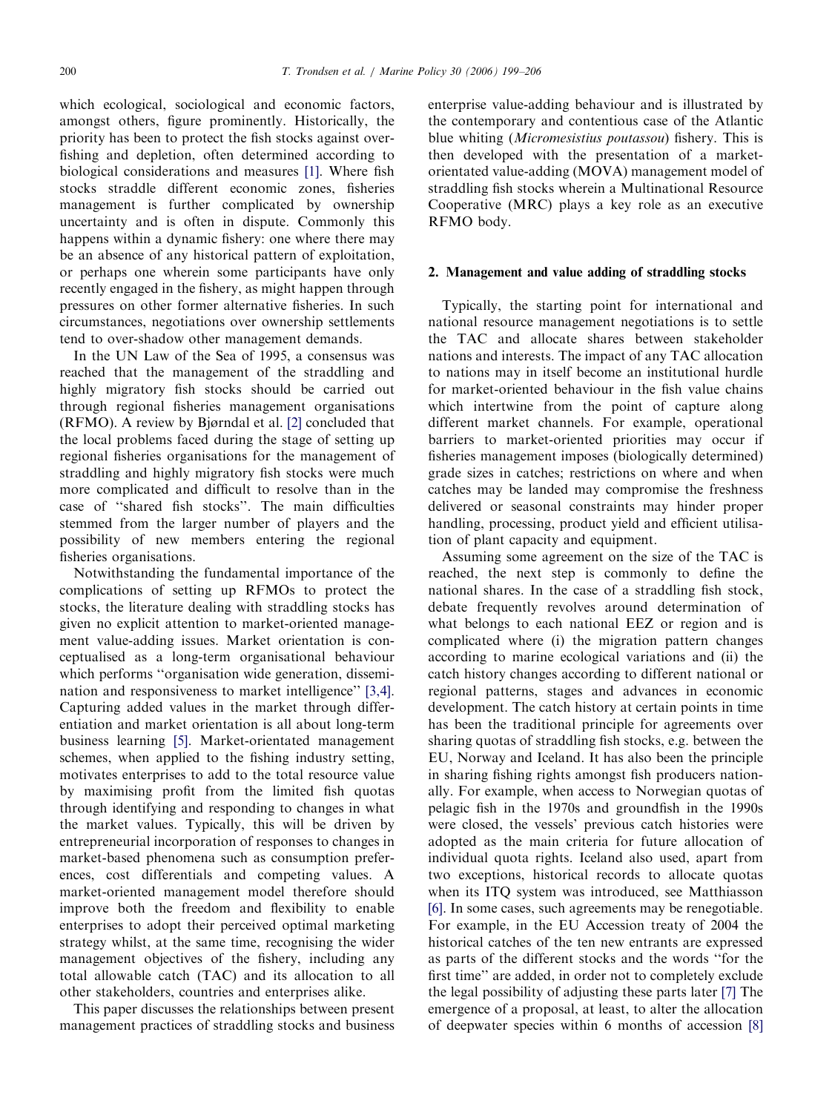which ecological, sociological and economic factors, amongst others, figure prominently. Historically, the priority has been to protect the fish stocks against overfishing and depletion, often determined according to biological considerations and measures [\[1\].](#page--1-0) Where fish stocks straddle different economic zones, fisheries management is further complicated by ownership uncertainty and is often in dispute. Commonly this happens within a dynamic fishery: one where there may be an absence of any historical pattern of exploitation, or perhaps one wherein some participants have only recently engaged in the fishery, as might happen through pressures on other former alternative fisheries. In such circumstances, negotiations over ownership settlements tend to over-shadow other management demands.

In the UN Law of the Sea of 1995, a consensus was reached that the management of the straddling and highly migratory fish stocks should be carried out through regional fisheries management organisations (RFMO). A review by Bjørndal et al. [\[2\]](#page--1-0) concluded that the local problems faced during the stage of setting up regional fisheries organisations for the management of straddling and highly migratory fish stocks were much more complicated and difficult to resolve than in the case of ''shared fish stocks''. The main difficulties stemmed from the larger number of players and the possibility of new members entering the regional fisheries organisations.

Notwithstanding the fundamental importance of the complications of setting up RFMOs to protect the stocks, the literature dealing with straddling stocks has given no explicit attention to market-oriented management value-adding issues. Market orientation is conceptualised as a long-term organisational behaviour which performs "organisation wide generation, dissemination and responsiveness to market intelligence'' [\[3,4\].](#page--1-0) Capturing added values in the market through differentiation and market orientation is all about long-term business learning [\[5\]](#page--1-0). Market-orientated management schemes, when applied to the fishing industry setting, motivates enterprises to add to the total resource value by maximising profit from the limited fish quotas through identifying and responding to changes in what the market values. Typically, this will be driven by entrepreneurial incorporation of responses to changes in market-based phenomena such as consumption preferences, cost differentials and competing values. A market-oriented management model therefore should improve both the freedom and flexibility to enable enterprises to adopt their perceived optimal marketing strategy whilst, at the same time, recognising the wider management objectives of the fishery, including any total allowable catch (TAC) and its allocation to all other stakeholders, countries and enterprises alike.

This paper discusses the relationships between present management practices of straddling stocks and business enterprise value-adding behaviour and is illustrated by the contemporary and contentious case of the Atlantic blue whiting (Micromesistius poutassou) fishery. This is then developed with the presentation of a marketorientated value-adding (MOVA) management model of straddling fish stocks wherein a Multinational Resource Cooperative (MRC) plays a key role as an executive RFMO body.

### 2. Management and value adding of straddling stocks

Typically, the starting point for international and national resource management negotiations is to settle the TAC and allocate shares between stakeholder nations and interests. The impact of any TAC allocation to nations may in itself become an institutional hurdle for market-oriented behaviour in the fish value chains which intertwine from the point of capture along different market channels. For example, operational barriers to market-oriented priorities may occur if fisheries management imposes (biologically determined) grade sizes in catches; restrictions on where and when catches may be landed may compromise the freshness delivered or seasonal constraints may hinder proper handling, processing, product yield and efficient utilisation of plant capacity and equipment.

Assuming some agreement on the size of the TAC is reached, the next step is commonly to define the national shares. In the case of a straddling fish stock, debate frequently revolves around determination of what belongs to each national EEZ or region and is complicated where (i) the migration pattern changes according to marine ecological variations and (ii) the catch history changes according to different national or regional patterns, stages and advances in economic development. The catch history at certain points in time has been the traditional principle for agreements over sharing quotas of straddling fish stocks, e.g. between the EU, Norway and Iceland. It has also been the principle in sharing fishing rights amongst fish producers nationally. For example, when access to Norwegian quotas of pelagic fish in the 1970s and groundfish in the 1990s were closed, the vessels' previous catch histories were adopted as the main criteria for future allocation of individual quota rights. Iceland also used, apart from two exceptions, historical records to allocate quotas when its ITQ system was introduced, see Matthiasson [\[6\].](#page--1-0) In some cases, such agreements may be renegotiable. For example, in the EU Accession treaty of 2004 the historical catches of the ten new entrants are expressed as parts of the different stocks and the words ''for the first time'' are added, in order not to completely exclude the legal possibility of adjusting these parts later [\[7\]](#page--1-0) The emergence of a proposal, at least, to alter the allocation of deepwater species within 6 months of accession [\[8\]](#page--1-0)